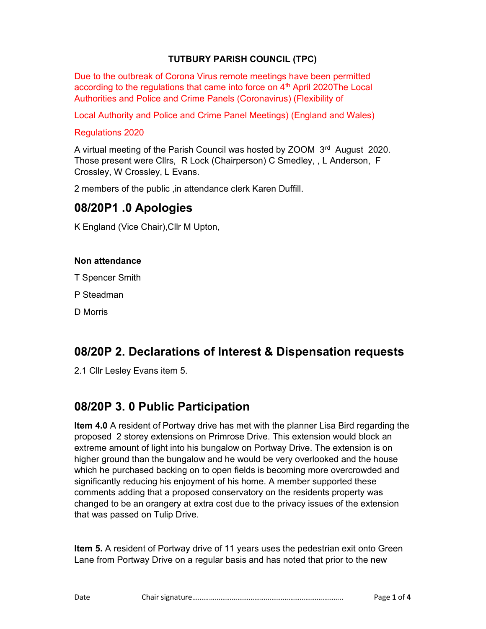## TUTBURY PARISH COUNCIL (TPC)

Due to the outbreak of Corona Virus remote meetings have been permitted according to the regulations that came into force on  $4<sup>th</sup>$  April 2020The Local Authorities and Police and Crime Panels (Coronavirus) (Flexibility of

Local Authority and Police and Crime Panel Meetings) (England and Wales)

#### Regulations 2020

A virtual meeting of the Parish Council was hosted by ZOOM 3<sup>rd</sup> August 2020. Those present were Cllrs, R Lock (Chairperson) C Smedley, , L Anderson, F Crossley, W Crossley, L Evans.

2 members of the public ,in attendance clerk Karen Duffill.

## 08/20P1 .0 Apologies

K England (Vice Chair),Cllr M Upton,

#### Non attendance

T Spencer Smith

P Steadman

D Morris

# 08/20P 2. Declarations of Interest & Dispensation requests

2.1 Cllr Lesley Evans item 5.

# 08/20P 3. 0 Public Participation

Item 4.0 A resident of Portway drive has met with the planner Lisa Bird regarding the proposed 2 storey extensions on Primrose Drive. This extension would block an extreme amount of light into his bungalow on Portway Drive. The extension is on higher ground than the bungalow and he would be very overlooked and the house which he purchased backing on to open fields is becoming more overcrowded and significantly reducing his enjoyment of his home. A member supported these comments adding that a proposed conservatory on the residents property was changed to be an orangery at extra cost due to the privacy issues of the extension that was passed on Tulip Drive.

Item 5. A resident of Portway drive of 11 years uses the pedestrian exit onto Green Lane from Portway Drive on a regular basis and has noted that prior to the new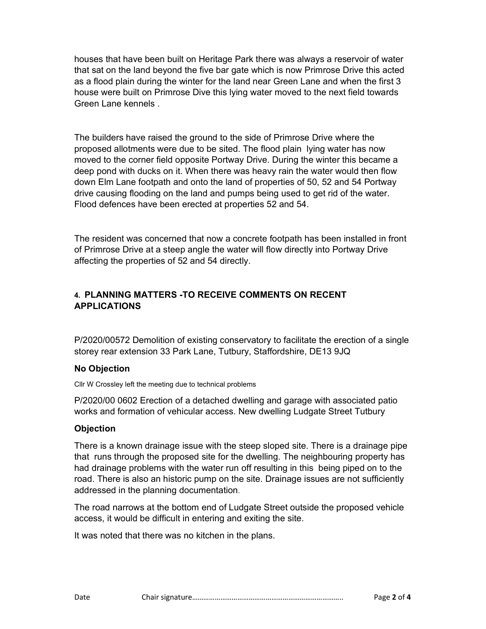houses that have been built on Heritage Park there was always a reservoir of water that sat on the land beyond the five bar gate which is now Primrose Drive this acted as a flood plain during the winter for the land near Green Lane and when the first 3 house were built on Primrose Dive this lying water moved to the next field towards Green Lane kennels .

The builders have raised the ground to the side of Primrose Drive where the proposed allotments were due to be sited. The flood plain lying water has now moved to the corner field opposite Portway Drive. During the winter this became a deep pond with ducks on it. When there was heavy rain the water would then flow down Elm Lane footpath and onto the land of properties of 50, 52 and 54 Portway drive causing flooding on the land and pumps being used to get rid of the water. Flood defences have been erected at properties 52 and 54.

The resident was concerned that now a concrete footpath has been installed in front of Primrose Drive at a steep angle the water will flow directly into Portway Drive affecting the properties of 52 and 54 directly.

## 4. PLANNING MATTERS -TO RECEIVE COMMENTS ON RECENT APPLICATIONS

P/2020/00572 Demolition of existing conservatory to facilitate the erection of a single storey rear extension 33 Park Lane, Tutbury, Staffordshire, DE13 9JQ

### No Objection

Cllr W Crossley left the meeting due to technical problems

P/2020/00 0602 Erection of a detached dwelling and garage with associated patio works and formation of vehicular access. New dwelling Ludgate Street Tutbury

## **Objection**

There is a known drainage issue with the steep sloped site. There is a drainage pipe that runs through the proposed site for the dwelling. The neighbouring property has had drainage problems with the water run off resulting in this being piped on to the road. There is also an historic pump on the site. Drainage issues are not sufficiently addressed in the planning documentation.

The road narrows at the bottom end of Ludgate Street outside the proposed vehicle access, it would be difficult in entering and exiting the site.

It was noted that there was no kitchen in the plans.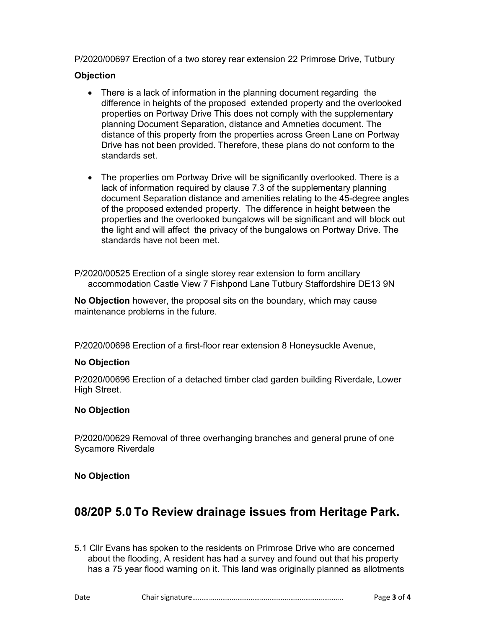P/2020/00697 Erection of a two storey rear extension 22 Primrose Drive, Tutbury

#### **Objection**

- There is a lack of information in the planning document regarding the difference in heights of the proposed extended property and the overlooked properties on Portway Drive This does not comply with the supplementary planning Document Separation, distance and Amneties document. The distance of this property from the properties across Green Lane on Portway Drive has not been provided. Therefore, these plans do not conform to the standards set.
- The properties om Portway Drive will be significantly overlooked. There is a lack of information required by clause 7.3 of the supplementary planning document Separation distance and amenities relating to the 45-degree angles of the proposed extended property. The difference in height between the properties and the overlooked bungalows will be significant and will block out the light and will affect the privacy of the bungalows on Portway Drive. The standards have not been met.

P/2020/00525 Erection of a single storey rear extension to form ancillary accommodation Castle View 7 Fishpond Lane Tutbury Staffordshire DE13 9N

No Objection however, the proposal sits on the boundary, which may cause maintenance problems in the future.

P/2020/00698 Erection of a first-floor rear extension 8 Honeysuckle Avenue,

#### No Objection

P/2020/00696 Erection of a detached timber clad garden building Riverdale, Lower High Street.

#### No Objection

P/2020/00629 Removal of three overhanging branches and general prune of one Sycamore Riverdale

#### No Objection

# 08/20P 5.0 To Review drainage issues from Heritage Park.

5.1 Cllr Evans has spoken to the residents on Primrose Drive who are concerned about the flooding, A resident has had a survey and found out that his property has a 75 year flood warning on it. This land was originally planned as allotments